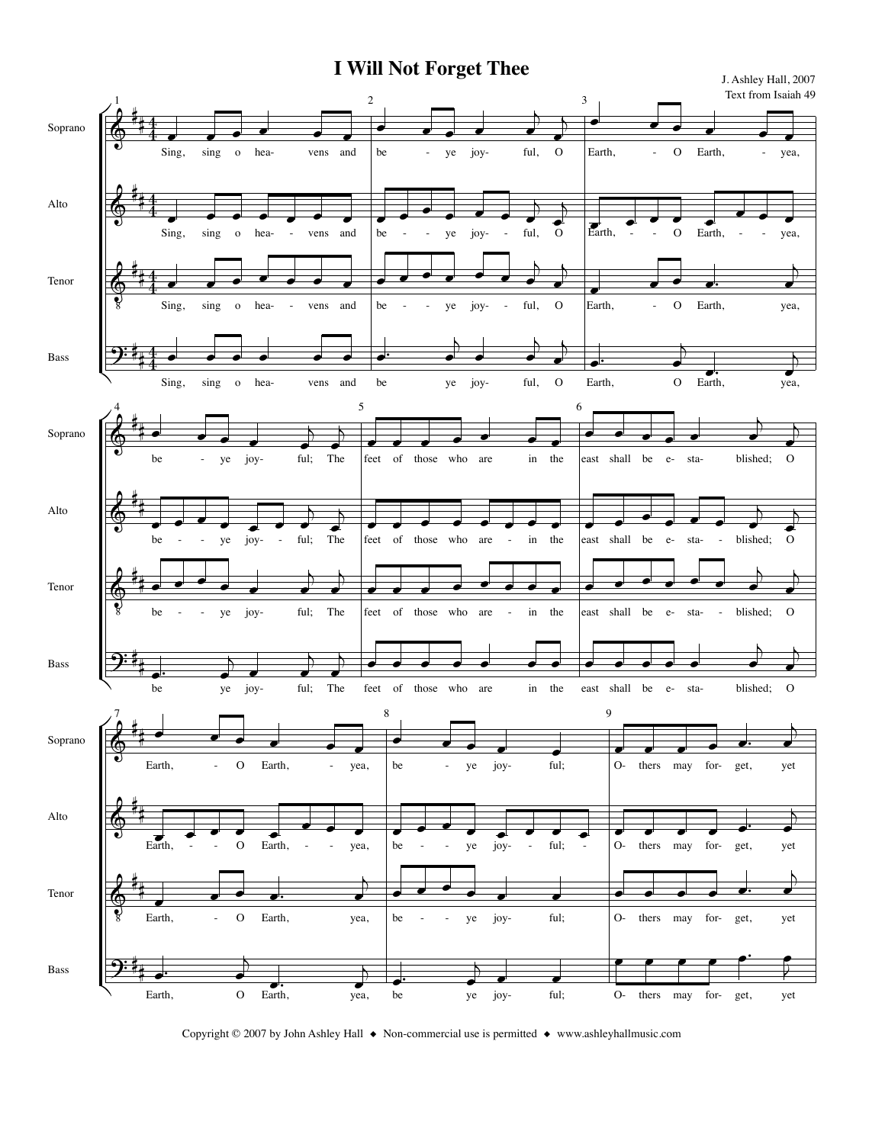

Copyright © 2007 by John Ashley Hall ◆ Non-commercial use is permitted ◆ www.ashleyhallmusic.com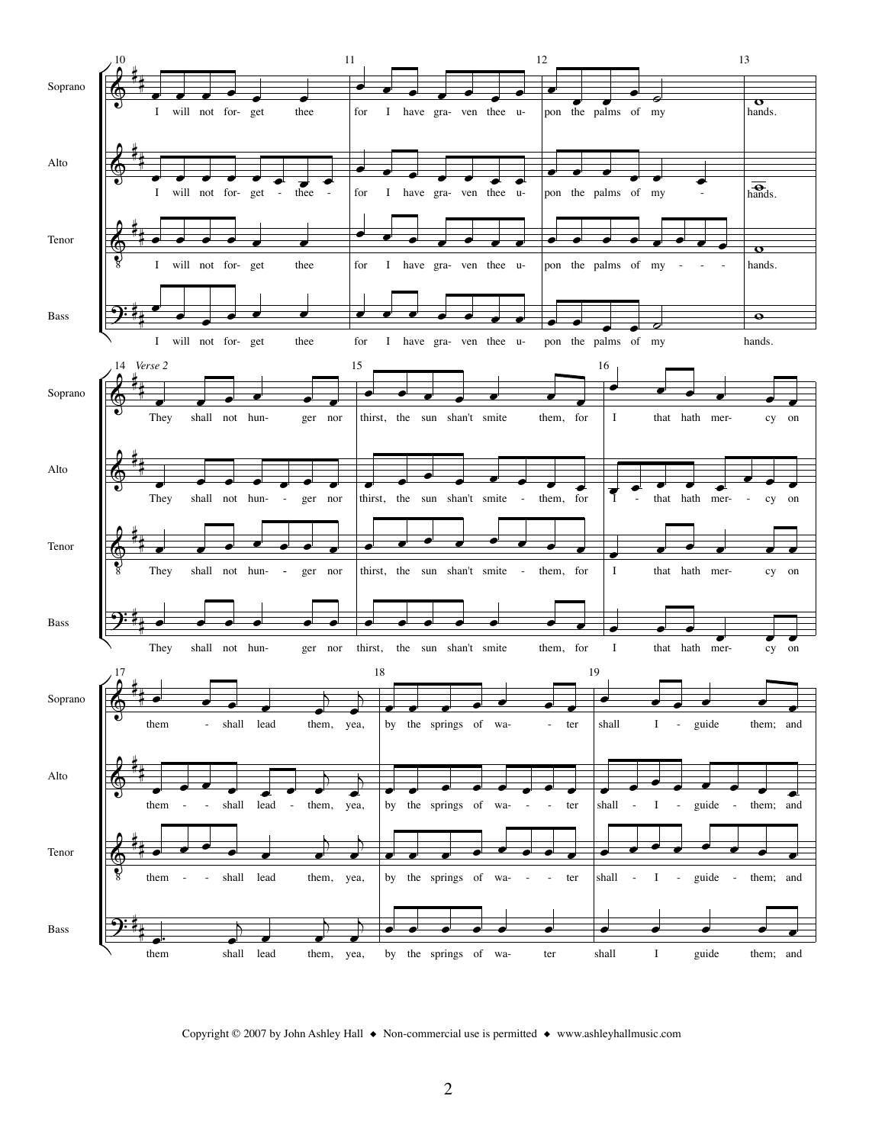

Copyright © 2007 by John Ashley Hall ◆ Non-commercial use is permitted ◆ www.ashleyhallmusic.com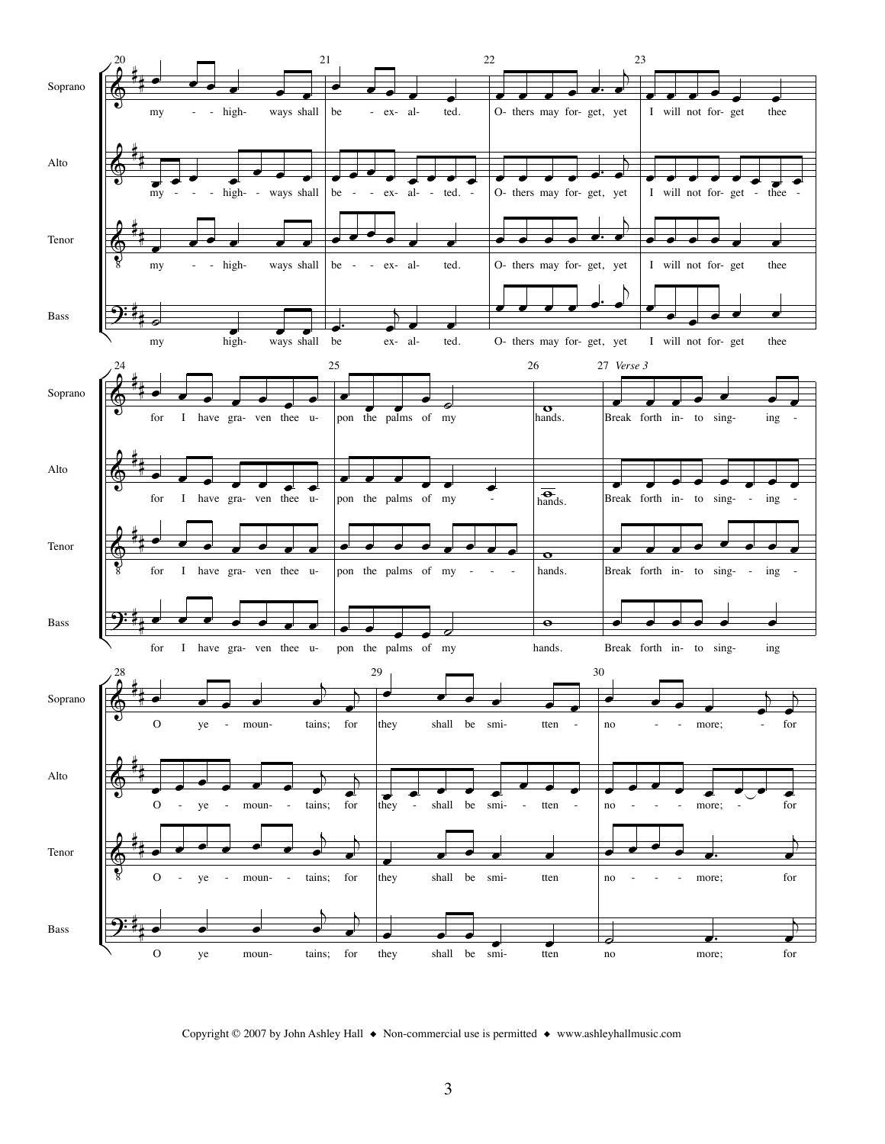

Copyright © 2007 by John Ashley Hall ◆ Non-commercial use is permitted ◆ www.ashleyhallmusic.com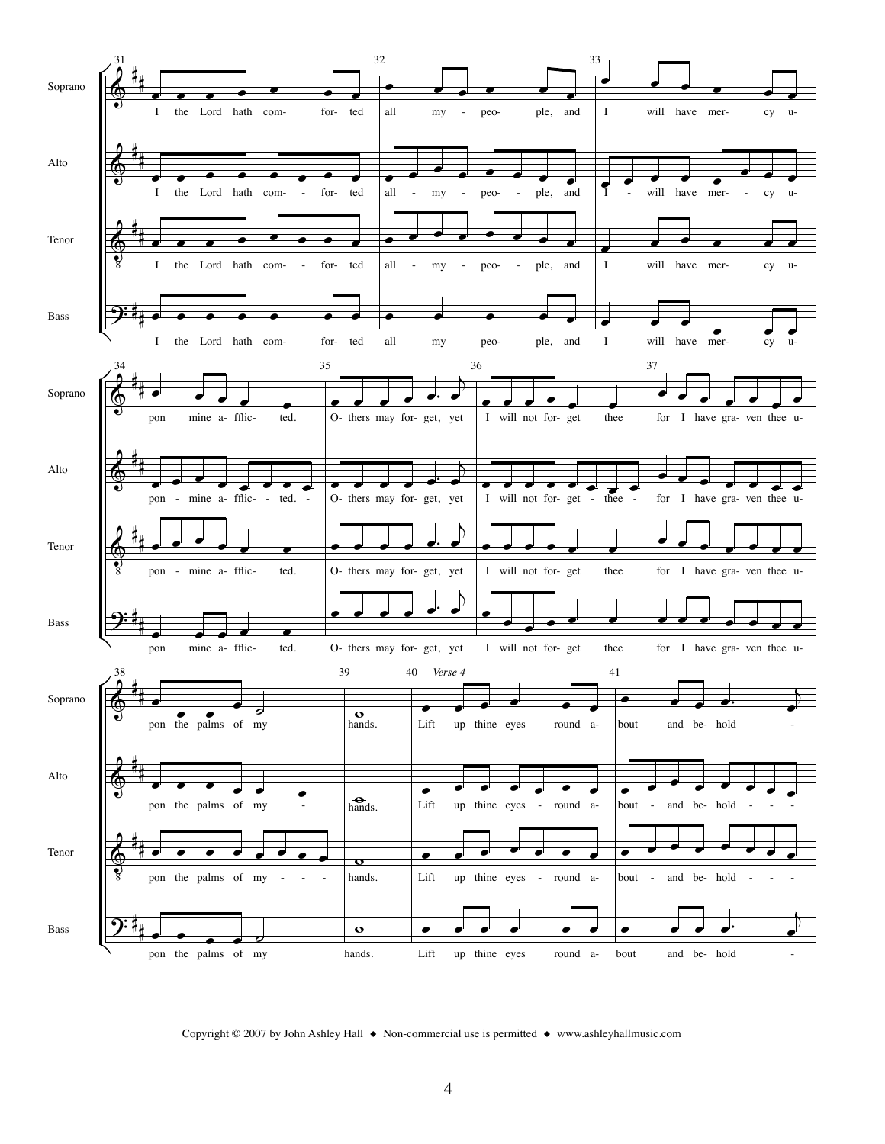

Copyright © 2007 by John Ashley Hall ◆ Non-commercial use is permitted ◆ www.ashleyhallmusic.com